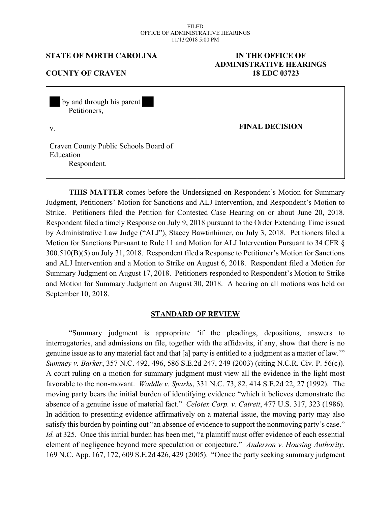#### FILED OFFICE OF ADMINISTRATIVE HEARINGS 11/13/2018 5:00 PM

#### **STATE OF NORTH CAROLINA IN THE OFFICE OF**

# **ADMINISTRATIVE HEARINGS COUNTY OF CRAVEN 18 EDC 03723**

| by and through his parent<br>Petitioners,                         |                       |
|-------------------------------------------------------------------|-----------------------|
| V.                                                                | <b>FINAL DECISION</b> |
| Craven County Public Schools Board of<br>Education<br>Respondent. |                       |

**THIS MATTER** comes before the Undersigned on Respondent's Motion for Summary Judgment, Petitioners' Motion for Sanctions and ALJ Intervention, and Respondent's Motion to Strike. Petitioners filed the Petition for Contested Case Hearing on or about June 20, 2018. Respondent filed a timely Response on July 9, 2018 pursuant to the Order Extending Time issued by Administrative Law Judge ("ALJ"), Stacey Bawtinhimer, on July 3, 2018. Petitioners filed a Motion for Sanctions Pursuant to Rule 11 and Motion for ALJ Intervention Pursuant to 34 CFR  $\delta$ 300.510(B)(5) on July 31, 2018. Respondent filed a Response to Petitioner's Motion for Sanctions and ALJ Intervention and a Motion to Strike on August 6, 2018. Respondent filed a Motion for Summary Judgment on August 17, 2018. Petitioners responded to Respondent's Motion to Strike and Motion for Summary Judgment on August 30, 2018. A hearing on all motions was held on September 10, 2018.

## **STANDARD OF REVIEW**

"Summary judgment is appropriate 'if the pleadings, depositions, answers to interrogatories, and admissions on file, together with the affidavits, if any, show that there is no genuine issue as to any material fact and that [a] party is entitled to a judgment as a matter of law.'" *Summey v. Barker*, 357 N.C. 492, 496, 586 S.E.2d 247, 249 (2003) (citing N.C.R. Civ. P. 56(c)). A court ruling on a motion for summary judgment must view all the evidence in the light most favorable to the non-movant. *Waddle v. Sparks*, 331 N.C. 73, 82, 414 S.E.2d 22, 27 (1992). The moving party bears the initial burden of identifying evidence "which it believes demonstrate the absence of a genuine issue of material fact." *Celotex Corp. v. Catrett*, 477 U.S. 317, 323 (1986). In addition to presenting evidence affirmatively on a material issue, the moving party may also satisfy this burden by pointing out "an absence of evidence to support the nonmoving party's case." *Id.* at 325. Once this initial burden has been met, "a plaintiff must offer evidence of each essential element of negligence beyond mere speculation or conjecture." *Anderson v. Housing Authority*, 169 N.C. App. 167, 172, 609 S.E.2d 426, 429 (2005). "Once the party seeking summary judgment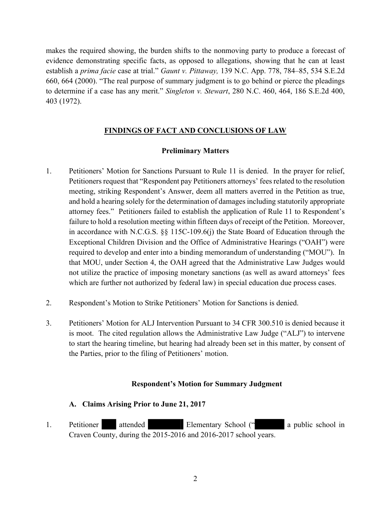makes the required showing, the burden shifts to the nonmoving party to produce a forecast of evidence demonstrating specific facts, as opposed to allegations, showing that he can at least establish a *prima facie* case at trial." *Gaunt v. Pittaway,* 139 N.C. App. 778, 784–85, 534 S.E.2d 660, 664 (2000). "The real purpose of summary judgment is to go behind or pierce the pleadings to determine if a case has any merit." *Singleton v. Stewart*, 280 N.C. 460, 464, 186 S.E.2d 400, 403 (1972).

# **FINDINGS OF FACT AND CONCLUSIONS OF LAW**

# **Preliminary Matters**

- 1. Petitioners' Motion for Sanctions Pursuant to Rule 11 is denied. In the prayer for relief, Petitioners request that "Respondent pay Petitioners attorneys' fees related to the resolution meeting, striking Respondent's Answer, deem all matters averred in the Petition as true, and hold a hearing solely for the determination of damages including statutorily appropriate attorney fees." Petitioners failed to establish the application of Rule 11 to Respondent's failure to hold a resolution meeting within fifteen days of receipt of the Petition. Moreover, in accordance with N.C.G.S. §§ 115C-109.6(j) the State Board of Education through the Exceptional Children Division and the Office of Administrative Hearings ("OAH") were required to develop and enter into a binding memorandum of understanding ("MOU"). In that MOU, under Section 4, the OAH agreed that the Administrative Law Judges would not utilize the practice of imposing monetary sanctions (as well as award attorneys' fees which are further not authorized by federal law) in special education due process cases.
- 2. Respondent's Motion to Strike Petitioners' Motion for Sanctions is denied.
- 3. Petitioners' Motion for ALJ Intervention Pursuant to 34 CFR 300.510 is denied because it is moot. The cited regulation allows the Administrative Law Judge ("ALJ") to intervene to start the hearing timeline, but hearing had already been set in this matter, by consent of the Parties, prior to the filing of Petitioners' motion.

# **Respondent's Motion for Summary Judgment**

# **A. Claims Arising Prior to June 21, 2017**

1. Petitioner attended Elementary School (" a public school in Craven County, during the 2015-2016 and 2016-2017 school years.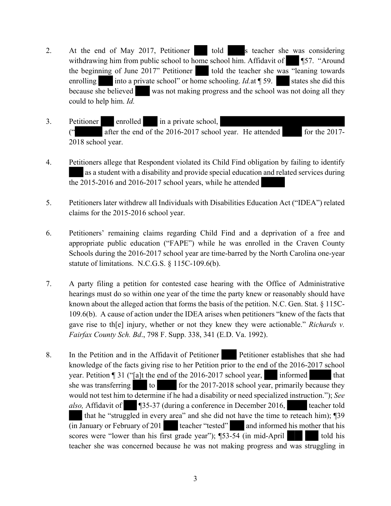- 2. At the end of May 2017, Petitioner told s teacher she was considering withdrawing him from public school to home school him. Affidavit of  $\blacksquare$   $\blacksquare$  57. "Around the beginning of June  $2017$ " Petitioner told the teacher she was "leaning towards" enrolling into a private school" or home schooling. *Id.*at ¶ 59. states she did this because she believed was not making progress and the school was not doing all they could to help him. *Id.*
- 3. Petitioner enrolled in a private school, (" after the end of the 2016-2017 school year. He attended for the 2017- 2018 school year.
- 4. Petitioners allege that Respondent violated its Child Find obligation by failing to identify as a student with a disability and provide special education and related services during the 2015-2016 and 2016-2017 school years, while he attended
- 5. Petitioners later withdrew all Individuals with Disabilities Education Act ("IDEA") related claims for the 2015-2016 school year.
- 6. Petitioners' remaining claims regarding Child Find and a deprivation of a free and appropriate public education ("FAPE") while he was enrolled in the Craven County Schools during the 2016-2017 school year are time-barred by the North Carolina one-year statute of limitations. N.C.G.S. § 115C-109.6(b).
- 7. A party filing a petition for contested case hearing with the Office of Administrative hearings must do so within one year of the time the party knew or reasonably should have known about the alleged action that forms the basis of the petition. N.C. Gen. Stat. § 115C-109.6(b). A cause of action under the IDEA arises when petitioners "knew of the facts that gave rise to th[e] injury, whether or not they knew they were actionable." *Richards v. Fairfax County Sch. Bd*., 798 F. Supp. 338, 341 (E.D. Va. 1992).
- 8. In the Petition and in the Affidavit of Petitioner Petitioner establishes that she had knowledge of the facts giving rise to her Petition prior to the end of the 2016-2017 school year. Petition  $\P$  31 ("[a]t the end of the 2016-2017 school year, informed that she was transferring to for the  $2017-2018$  school year, primarily because they would not test him to determine if he had a disability or need specialized instruction."); *See also,* Affidavit of **¶35-37** (during a conference in December 2016, teacher told that he "struggled in every area" and she did not have the time to reteach him); ¶39  $(i)$  Ianuary or February of 201 teacher "tested" and informed his mother that his scores were "lower than his first grade year");  $\P$ 53-54 (in mid-April told his teacher she was concerned because he was not making progress and was struggling in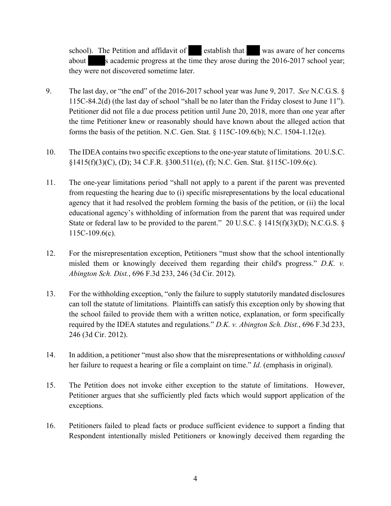school). The Petition and affidavit of establish that was aware of her concerns about s academic progress at the time they arose during the 2016-2017 school year; they were not discovered sometime later.

- 9. The last day, or "the end" of the 2016-2017 school year was June 9, 2017. *See* N.C.G.S. § 115C-84.2(d) (the last day of school "shall be no later than the Friday closest to June 11"). Petitioner did not file a due process petition until June 20, 2018, more than one year after the time Petitioner knew or reasonably should have known about the alleged action that forms the basis of the petition. N.C. Gen. Stat. § 115C-109.6(b); N.C. 1504-1.12(e).
- 10. The IDEA contains two specific exceptions to the one-year statute of limitations. 20 U.S.C. §1415(f)(3)(C), (D); 34 C.F.R. §300.511(e), (f); N.C. Gen. Stat. §115C-109.6(c).
- 11. The one-year limitations period "shall not apply to a parent if the parent was prevented from requesting the hearing due to (i) specific misrepresentations by the local educational agency that it had resolved the problem forming the basis of the petition, or (ii) the local educational agency's withholding of information from the parent that was required under State or federal law to be provided to the parent." 20 U.S.C.  $\S$  1415(f)(3)(D); N.C.G.S.  $\S$ 115C-109.6(c).
- 12. For the misrepresentation exception, Petitioners "must show that the school intentionally misled them or knowingly deceived them regarding their child's progress." *D.K. v. Abington Sch. Dist.*, 696 F.3d 233, 246 (3d Cir. 2012).
- 13. For the withholding exception, "only the failure to supply statutorily mandated disclosures can toll the statute of limitations. Plaintiffs can satisfy this exception only by showing that the school failed to provide them with a written notice, explanation, or form specifically required by the IDEA statutes and regulations." *D.K. v. Abington Sch. Dist.*, 696 F.3d 233, 246 (3d Cir. 2012).
- 14. In addition, a petitioner "must also show that the misrepresentations or withholding *caused* her failure to request a hearing or file a complaint on time." *Id.* (emphasis in original).
- 15. The Petition does not invoke either exception to the statute of limitations. However, Petitioner argues that she sufficiently pled facts which would support application of the exceptions.
- 16. Petitioners failed to plead facts or produce sufficient evidence to support a finding that Respondent intentionally misled Petitioners or knowingly deceived them regarding the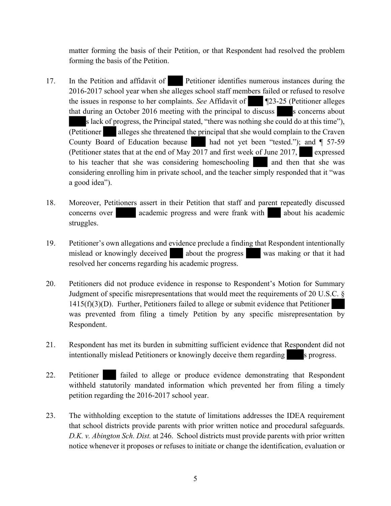matter forming the basis of their Petition, or that Respondent had resolved the problem forming the basis of the Petition.

- 17. In the Petition and affidavit of Petitioner identifies numerous instances during the 2016-2017 school year when she alleges school staff members failed or refused to resolve the issues in response to her complaints. *See* Affidavit of ¶23-25 (Petitioner alleges that during an October 2016 meeting with the principal to discuss s concerns about s lack of progress, the Principal stated, "there was nothing she could do at this time"), (Petitioner alleges she threatened the principal that she would complain to the Craven County Board of Education because had not yet been "tested."); and ¶ 57-59 (Petitioner states that at the end of May 2017 and first week of June 2017, expressed to his teacher that she was considering homeschooling and then that she was considering enrolling him in private school, and the teacher simply responded that it "was a good idea").
- 18. Moreover, Petitioners assert in their Petition that staff and parent repeatedly discussed concerns over academic progress and were frank with about his academic struggles.
- 19. Petitioner's own allegations and evidence preclude a finding that Respondent intentionally mislead or knowingly deceived about the progress was making or that it had resolved her concerns regarding his academic progress.
- 20. Petitioners did not produce evidence in response to Respondent's Motion for Summary Judgment of specific misrepresentations that would meet the requirements of 20 U.S.C. § 1415(f)(3)(D). Further, Petitioners failed to allege or submit evidence that Petitioner was prevented from filing a timely Petition by any specific misrepresentation by Respondent.
- 21. Respondent has met its burden in submitting sufficient evidence that Respondent did not intentionally mislead Petitioners or knowingly deceive them regarding s progress.
- 22. Petitioner failed to allege or produce evidence demonstrating that Respondent withheld statutorily mandated information which prevented her from filing a timely petition regarding the 2016-2017 school year.
- 23. The withholding exception to the statute of limitations addresses the IDEA requirement that school districts provide parents with prior written notice and procedural safeguards. *D.K. v. Abington Sch. Dist.* at 246. School districts must provide parents with prior written notice whenever it proposes or refuses to initiate or change the identification, evaluation or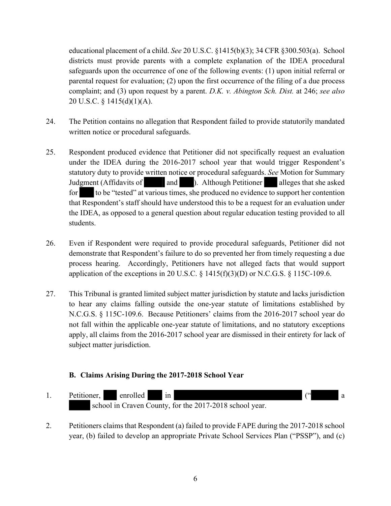educational placement of a child. *See* 20 U.S.C. §1415(b)(3); 34 CFR §300.503(a). School districts must provide parents with a complete explanation of the IDEA procedural safeguards upon the occurrence of one of the following events: (1) upon initial referral or parental request for evaluation; (2) upon the first occurrence of the filing of a due process complaint; and (3) upon request by a parent. *D.K. v. Abington Sch. Dist.* at 246; *see also*  20 U.S.C. § 1415(d)(1)(A).

- 24. The Petition contains no allegation that Respondent failed to provide statutorily mandated written notice or procedural safeguards.
- 25. Respondent produced evidence that Petitioner did not specifically request an evaluation under the IDEA during the 2016-2017 school year that would trigger Respondent's statutory duty to provide written notice or procedural safeguards. *See* Motion for Summary Judgment (Affidavits of and ). Although Petitioner alleges that she asked for to be "tested" at various times, she produced no evidence to support her contention that Respondent's staff should have understood this to be a request for an evaluation under the IDEA, as opposed to a general question about regular education testing provided to all students.
- 26. Even if Respondent were required to provide procedural safeguards, Petitioner did not demonstrate that Respondent's failure to do so prevented her from timely requesting a due process hearing. Accordingly, Petitioners have not alleged facts that would support application of the exceptions in 20 U.S.C.  $\S$  1415(f)(3)(D) or N.C.G.S.  $\S$  115C-109.6.
- 27. This Tribunal is granted limited subject matter jurisdiction by statute and lacks jurisdiction to hear any claims falling outside the one-year statute of limitations established by N.C.G.S. § 115C-109.6. Because Petitioners' claims from the 2016-2017 school year do not fall within the applicable one-year statute of limitations, and no statutory exceptions apply, all claims from the 2016-2017 school year are dismissed in their entirety for lack of subject matter jurisdiction.

# **B. Claims Arising During the 2017-2018 School Year**



2. Petitioners claims that Respondent (a) failed to provide FAPE during the 2017-2018 school year, (b) failed to develop an appropriate Private School Services Plan ("PSSP"), and (c)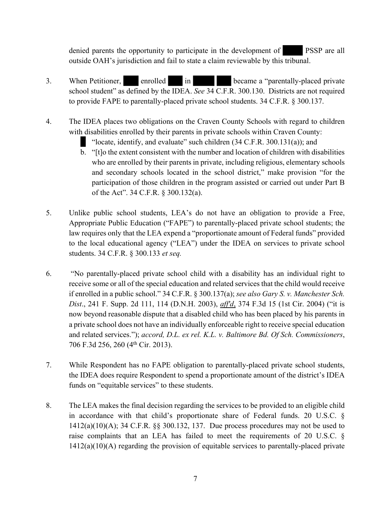denied parents the opportunity to participate in the development of PSSP are all outside OAH's jurisdiction and fail to state a claim reviewable by this tribunal.

- 3. When Petitioner, enrolled in became a "parentally-placed private school student" as defined by the IDEA. *See* 34 C.F.R. 300.130. Districts are not required to provide FAPE to parentally-placed private school students. 34 C.F.R. § 300.137.
- 4. The IDEA places two obligations on the Craven County Schools with regard to children with disabilities enrolled by their parents in private schools within Craven County:
	- "locate, identify, and evaluate" such children (34 C.F.R. 300.131(a)); and
	- b. "[t]o the extent consistent with the number and location of children with disabilities who are enrolled by their parents in private, including religious, elementary schools and secondary schools located in the school district," make provision "for the participation of those children in the program assisted or carried out under Part B of the Act". 34 C.F.R. § 300.132(a).
- 5. Unlike public school students, LEA's do not have an obligation to provide a Free, Appropriate Public Education ("FAPE") to parentally-placed private school students; the law requires only that the LEA expend a "proportionate amount of Federal funds" provided to the local educational agency ("LEA") under the IDEA on services to private school students. 34 C.F.R. § 300.133 *et seq.*
- 6. "No parentally-placed private school child with a disability has an individual right to receive some or all of the special education and related services that the child would receive if enrolled in a public school." 34 C.F.R. § 300.137(a); *see also Gary S. v. Manchester Sch. Dist*., 241 F. Supp. 2d 111, 114 (D.N.H. 2003), *aff'd*, 374 F.3d 15 (1st Cir. 2004) ("it is now beyond reasonable dispute that a disabled child who has been placed by his parents in a private school does not have an individually enforceable right to receive special education and related services."); *accord, D.L. ex rel. K.L. v. Baltimore Bd. Of Sch. Commissioners*, 706 F.3d 256, 260 (4th Cir. 2013).
- 7. While Respondent has no FAPE obligation to parentally-placed private school students, the IDEA does require Respondent to spend a proportionate amount of the district's IDEA funds on "equitable services" to these students.
- 8. The LEA makes the final decision regarding the services to be provided to an eligible child in accordance with that child's proportionate share of Federal funds. 20 U.S.C. § 1412(a)(10)(A); 34 C.F.R. §§ 300.132, 137. Due process procedures may not be used to raise complaints that an LEA has failed to meet the requirements of 20 U.S.C. § 1412(a)(10)(A) regarding the provision of equitable services to parentally-placed private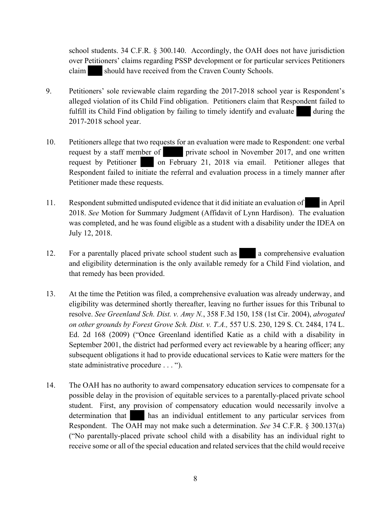school students. 34 C.F.R. § 300.140. Accordingly, the OAH does not have jurisdiction over Petitioners' claims regarding PSSP development or for particular services Petitioners claim should have received from the Craven County Schools.

- 9. Petitioners' sole reviewable claim regarding the 2017-2018 school year is Respondent's alleged violation of its Child Find obligation. Petitioners claim that Respondent failed to fulfill its Child Find obligation by failing to timely identify and evaluate during the 2017-2018 school year.
- 10. Petitioners allege that two requests for an evaluation were made to Respondent: one verbal request by a staff member of private school in November 2017, and one written request by Petitioner on February 21, 2018 via email. Petitioner alleges that Respondent failed to initiate the referral and evaluation process in a timely manner after Petitioner made these requests.
- 11. Respondent submitted undisputed evidence that it did initiate an evaluation of in April 2018. *See* Motion for Summary Judgment (Affidavit of Lynn Hardison). The evaluation was completed, and he was found eligible as a student with a disability under the IDEA on July 12, 2018.
- 12. For a parentally placed private school student such as a comprehensive evaluation and eligibility determination is the only available remedy for a Child Find violation, and that remedy has been provided.
- 13. At the time the Petition was filed, a comprehensive evaluation was already underway, and eligibility was determined shortly thereafter, leaving no further issues for this Tribunal to resolve. *See Greenland Sch. Dist. v. Amy N.*, 358 F.3d 150, 158 (1st Cir. 2004), *abrogated on other grounds by Forest Grove Sch. Dist. v. T.A.,* 557 U.S. 230, 129 S. Ct. 2484, 174 L. Ed. 2d 168 (2009) ("Once Greenland identified Katie as a child with a disability in September 2001, the district had performed every act reviewable by a hearing officer; any subsequent obligations it had to provide educational services to Katie were matters for the state administrative procedure . . . ").
- 14. The OAH has no authority to award compensatory education services to compensate for a possible delay in the provision of equitable services to a parentally-placed private school student. First, any provision of compensatory education would necessarily involve a determination that has an individual entitlement to any particular services from Respondent. The OAH may not make such a determination. *See* 34 C.F.R. § 300.137(a) ("No parentally-placed private school child with a disability has an individual right to receive some or all of the special education and related services that the child would receive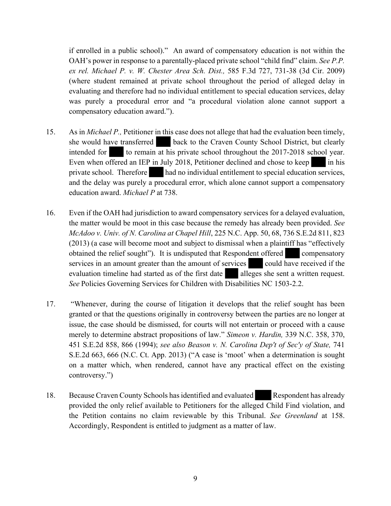if enrolled in a public school)." An award of compensatory education is not within the OAH's power in response to a parentally-placed private school "child find" claim. *See P.P. ex rel. Michael P. v. W. Chester Area Sch. Dist.,* 585 F.3d 727, 731-38 (3d Cir. 2009) (where student remained at private school throughout the period of alleged delay in evaluating and therefore had no individual entitlement to special education services, delay was purely a procedural error and "a procedural violation alone cannot support a compensatory education award.").

- 15. As in *Michael P.,* Petitioner in this case does not allege that had the evaluation been timely, she would have transferred back to the Craven County School District, but clearly intended for to remain at his private school throughout the 2017-2018 school year. Even when offered an IEP in July 2018, Petitioner declined and chose to keep in his private school. Therefore had no individual entitlement to special education services, and the delay was purely a procedural error, which alone cannot support a compensatory education award. *Michael P* at 738.
- 16. Even if the OAH had jurisdiction to award compensatory services for a delayed evaluation, the matter would be moot in this case because the remedy has already been provided. *See McAdoo v. Univ. of N. Carolina at Chapel Hill*, 225 N.C. App. 50, 68, 736 S.E.2d 811, 823 (2013) (a case will become moot and subject to dismissal when a plaintiff has "effectively obtained the relief sought"). It is undisputed that Respondent offered compensatory services in an amount greater than the amount of services could have received if the evaluation timeline had started as of the first date alleges she sent a written request. *See* Policies Governing Services for Children with Disabilities NC 1503-2.2.
- 17. "Whenever, during the course of litigation it develops that the relief sought has been granted or that the questions originally in controversy between the parties are no longer at issue, the case should be dismissed, for courts will not entertain or proceed with a cause merely to determine abstract propositions of law." *Simeon v. Hardin,* 339 N.C. 358, 370, 451 S.E.2d 858, 866 (1994); *see also Beason v. N. Carolina Dep't of Sec'y of State,* 741 S.E.2d 663, 666 (N.C. Ct. App. 2013) ("A case is 'moot' when a determination is sought on a matter which, when rendered, cannot have any practical effect on the existing controversy.")
- 18. Because Craven County Schools has identified and evaluated Respondent has already provided the only relief available to Petitioners for the alleged Child Find violation, and the Petition contains no claim reviewable by this Tribunal. *See Greenland* at 158. Accordingly, Respondent is entitled to judgment as a matter of law.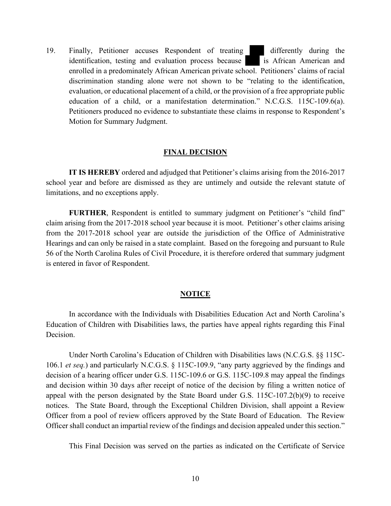19. Finally, Petitioner accuses Respondent of treating differently during the identification, testing and evaluation process because is African American and enrolled in a predominately African American private school. Petitioners' claims of racial discrimination standing alone were not shown to be "relating to the identification, evaluation, or educational placement of a child, or the provision of a free appropriate public education of a child, or a manifestation determination." N.C.G.S. 115C-109.6(a). Petitioners produced no evidence to substantiate these claims in response to Respondent's Motion for Summary Judgment.

#### **FINAL DECISION**

**IT IS HEREBY** ordered and adjudged that Petitioner's claims arising from the 2016-2017 school year and before are dismissed as they are untimely and outside the relevant statute of limitations, and no exceptions apply.

**FURTHER**, Respondent is entitled to summary judgment on Petitioner's "child find" claim arising from the 2017-2018 school year because it is moot. Petitioner's other claims arising from the 2017-2018 school year are outside the jurisdiction of the Office of Administrative Hearings and can only be raised in a state complaint. Based on the foregoing and pursuant to Rule 56 of the North Carolina Rules of Civil Procedure, it is therefore ordered that summary judgment is entered in favor of Respondent.

#### **NOTICE**

In accordance with the Individuals with Disabilities Education Act and North Carolina's Education of Children with Disabilities laws, the parties have appeal rights regarding this Final Decision.

Under North Carolina's Education of Children with Disabilities laws (N.C.G.S. §§ 115C-106.1 *et seq.*) and particularly N.C.G.S. § 115C-109.9, "any party aggrieved by the findings and decision of a hearing officer under G.S. 115C-109.6 or G.S. 115C-109.8 may appeal the findings and decision within 30 days after receipt of notice of the decision by filing a written notice of appeal with the person designated by the State Board under G.S. 115C-107.2(b)(9) to receive notices. The State Board, through the Exceptional Children Division, shall appoint a Review Officer from a pool of review officers approved by the State Board of Education. The Review Officer shall conduct an impartial review of the findings and decision appealed under this section."

This Final Decision was served on the parties as indicated on the Certificate of Service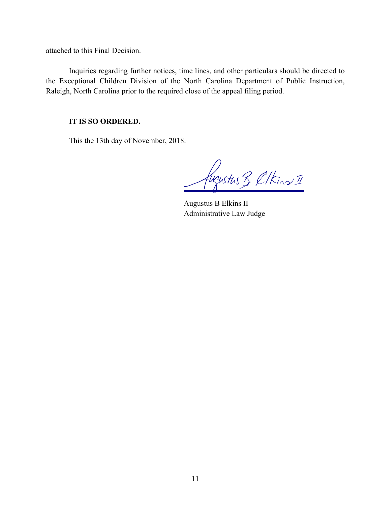attached to this Final Decision.

Inquiries regarding further notices, time lines, and other particulars should be directed to the Exceptional Children Division of the North Carolina Department of Public Instruction, Raleigh, North Carolina prior to the required close of the appeal filing period.

## **IT IS SO ORDERED.**

This the 13th day of November, 2018.

fugustus 3 ClKins II

Augustus B Elkins II Administrative Law Judge